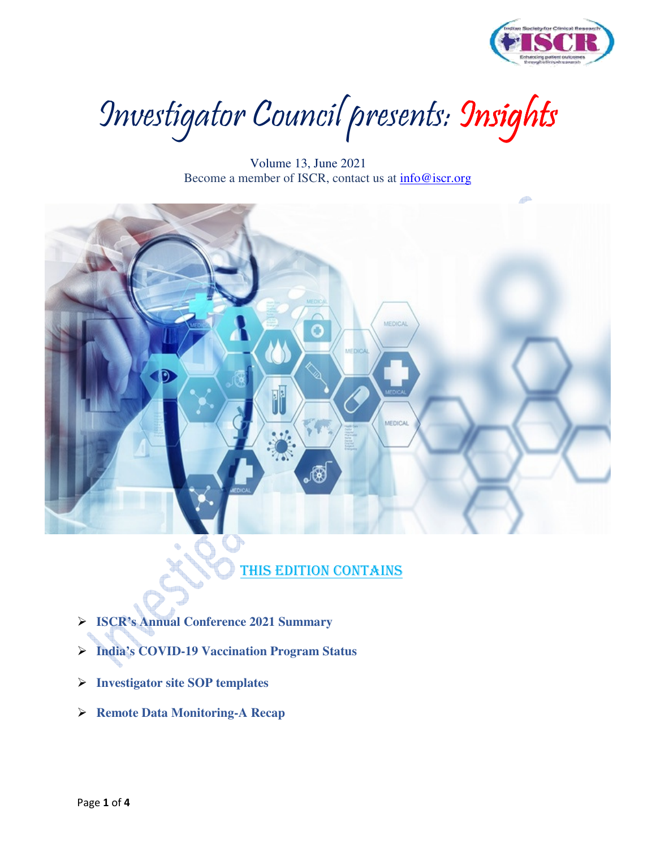

Investigator Council presents: Insights

 Volume 13, June 2021 Become a member of ISCR, contact us at info@iscr.org



## THIS EDITION CONTAINS

- **ISCR's Annual Conference 2021 Summary**
- **India's COVID-19 Vaccination Program Status**
- **Investigator site SOP templates**
- **Remote Data Monitoring-A Recap**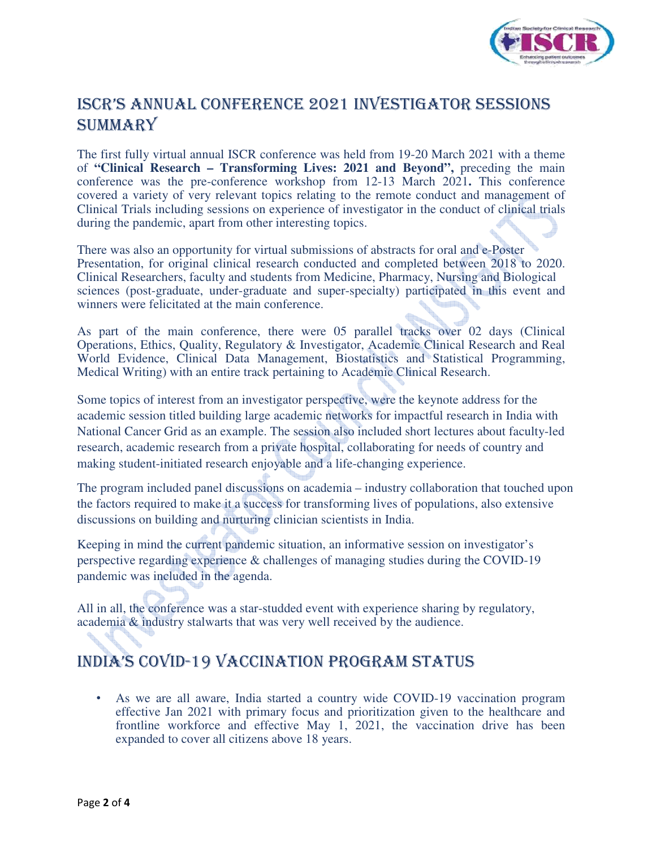

# ISCR'S ANNUAL CONFERENCE 2021 INVESTIGATOR SESSIONS **SUMMARY**

The first fully virtual annual ISCR conference was held from 19-20 March 2021 with a theme of **"Clinical Research – Transforming Lives: 2021 and Beyond",** preceding the main conference was the pre-conference workshop from 12-13 March 2021**.** This conference covered a variety of very relevant topics relating to the remote conduct and management of Clinical Trials including sessions on experience of investigator in the conduct of clinical trials during the pandemic, apart from other interesting topics.

There was also an opportunity for virtual submissions of abstracts for oral and e-Poster Presentation, for original clinical research conducted and completed between 2018 to 2020. Clinical Researchers, faculty and students from Medicine, Pharmacy, Nursing and Biological sciences (post-graduate, under-graduate and super-specialty) participated in this event and winners were felicitated at the main conference.

As part of the main conference, there were 05 parallel tracks over 02 days (Clinical Operations, Ethics, Quality, Regulatory & Investigator, Academic Clinical Research and Real World Evidence, Clinical Data Management, Biostatistics and Statistical Programming, Medical Writing) with an entire track pertaining to Academic Clinical Research.

Some topics of interest from an investigator perspective, were the keynote address for the academic session titled building large academic networks for impactful research in India with National Cancer Grid as an example. The session also included short lectures about faculty-led research, academic research from a private hospital, collaborating for needs of country and making student-initiated research enjoyable and a life-changing experience.

The program included panel discussions on academia – industry collaboration that touched upon the factors required to make it a success for transforming lives of populations, also extensive discussions on building and nurturing clinician scientists in India.

Keeping in mind the current pandemic situation, an informative session on investigator's perspective regarding experience & challenges of managing studies during the COVID-19 pandemic was included in the agenda.

All in all, the conference was a star-studded event with experience sharing by regulatory, academia & industry stalwarts that was very well received by the audience.

# INDIA'S COVID-19 VACCINATION PROGRAM STATUS

• As we are all aware, India started a country wide COVID-19 vaccination program effective Jan 2021 with primary focus and prioritization given to the healthcare and frontline workforce and effective May 1, 2021, the vaccination drive has been expanded to cover all citizens above 18 years.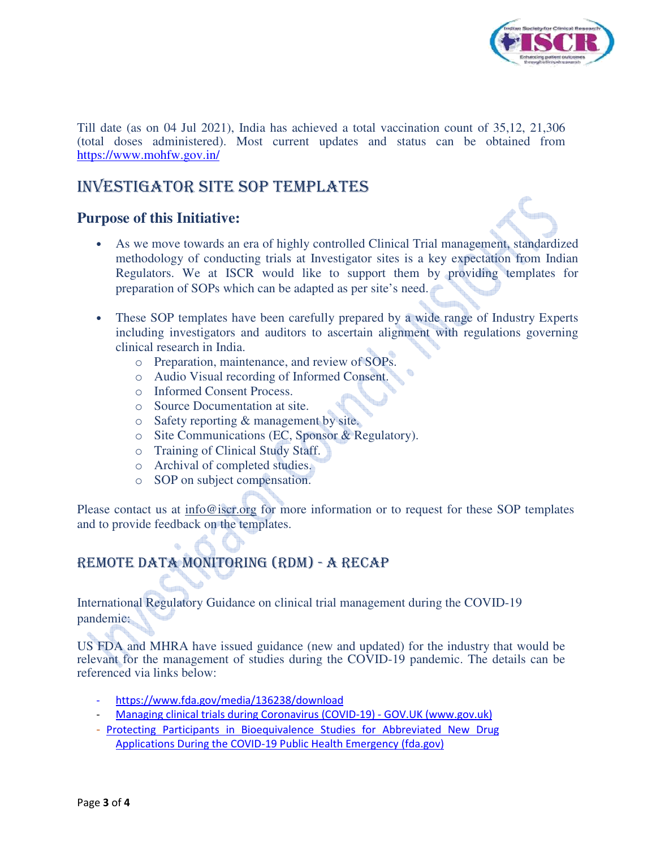

Till date (as on 04 Jul 2021), India has achieved a total vaccination count of 35,12, 21,306 (total doses administered). Most current updates and status can be obtained from https://www.mohfw.gov.in/

### INVESTIGATOR SITE SOP TEMPLATES

#### **Purpose of this Initiative:**

- As we move towards an era of highly controlled Clinical Trial management, standardized methodology of conducting trials at Investigator sites is a key expectation from Indian Regulators. We at ISCR would like to support them by providing templates for preparation of SOPs which can be adapted as per site's need.
- These SOP templates have been carefully prepared by a wide range of Industry Experts including investigators and auditors to ascertain alignment with regulations governing clinical research in India.
	- o Preparation, maintenance, and review of SOPs.
	- o Audio Visual recording of Informed Consent.
	- o Informed Consent Process.
	- o Source Documentation at site.
	- o Safety reporting & management by site.
	- o Site Communications (EC, Sponsor & Regulatory).
	- o Training of Clinical Study Staff.
	- o Archival of completed studies.
	- o SOP on subject compensation.

Please contact us at  $info@iscr.org$  for more information or to request for these SOP templates and to provide feedback on the templates.

## REMOTE DATA MONITORING (RDM) - A RECAP

International Regulatory Guidance on clinical trial management during the COVID-19 pandemic:

US FDA and MHRA have issued guidance (new and updated) for the industry that would be relevant for the management of studies during the COVID-19 pandemic. The details can be referenced via links below:

- https://www.fda.gov/media/136238/download
- Managing clinical trials during Coronavirus (COVID-19) GOV.UK (www.gov.uk)
- Protecting Participants in Bioequivalence Studies for Abbreviated New Drug Applications During the COVID-19 Public Health Emergency (fda.gov)